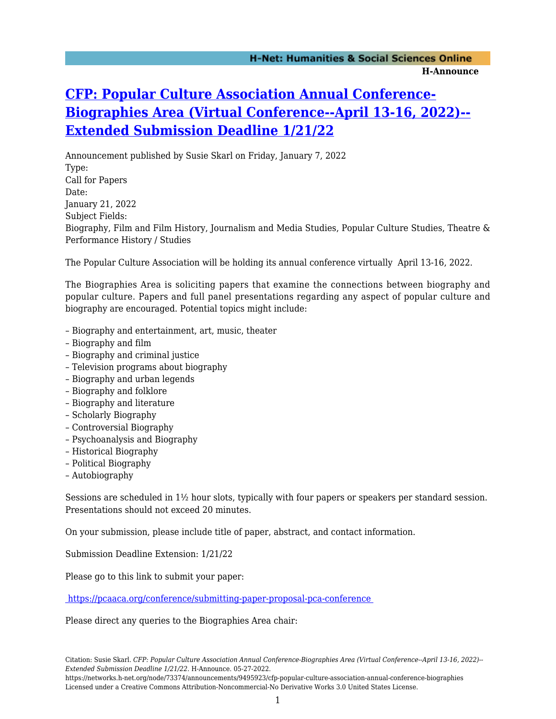## **[CFP: Popular Culture Association Annual Conference-](https://networks.h-net.org/node/73374/announcements/9495923/cfp-popular-culture-association-annual-conference-biographies)[Biographies Area \(Virtual Conference--April 13-16, 2022\)--](https://networks.h-net.org/node/73374/announcements/9495923/cfp-popular-culture-association-annual-conference-biographies) [Extended Submission Deadline 1/21/22](https://networks.h-net.org/node/73374/announcements/9495923/cfp-popular-culture-association-annual-conference-biographies)**

Announcement published by Susie Skarl on Friday, January 7, 2022 Type: Call for Papers Date: January 21, 2022 Subject Fields: Biography, Film and Film History, Journalism and Media Studies, Popular Culture Studies, Theatre & Performance History / Studies

The Popular Culture Association will be holding its annual conference virtually April 13-16, 2022.

The Biographies Area is soliciting papers that examine the connections between biography and popular culture. Papers and full panel presentations regarding any aspect of popular culture and biography are encouraged. Potential topics might include:

- Biography and entertainment, art, music, theater
- Biography and film
- Biography and criminal justice
- Television programs about biography
- Biography and urban legends
- Biography and folklore
- Biography and literature
- Scholarly Biography
- Controversial Biography
- Psychoanalysis and Biography
- Historical Biography
- Political Biography
- Autobiography

Sessions are scheduled in 1½ hour slots, typically with four papers or speakers per standard session. Presentations should not exceed 20 minutes.

On your submission, please include title of paper, abstract, and contact information.

Submission Deadline Extension: 1/21/22

Please go to this link to submit your paper:

<https://pcaaca.org/conference/submitting-paper-proposal-pca-conference>

Please direct any queries to the Biographies Area chair:

https://networks.h-net.org/node/73374/announcements/9495923/cfp-popular-culture-association-annual-conference-biographies Licensed under a Creative Commons Attribution-Noncommercial-No Derivative Works 3.0 United States License.

Citation: Susie Skarl. *CFP: Popular Culture Association Annual Conference-Biographies Area (Virtual Conference--April 13-16, 2022)-- Extended Submission Deadline 1/21/22*. H-Announce. 05-27-2022.